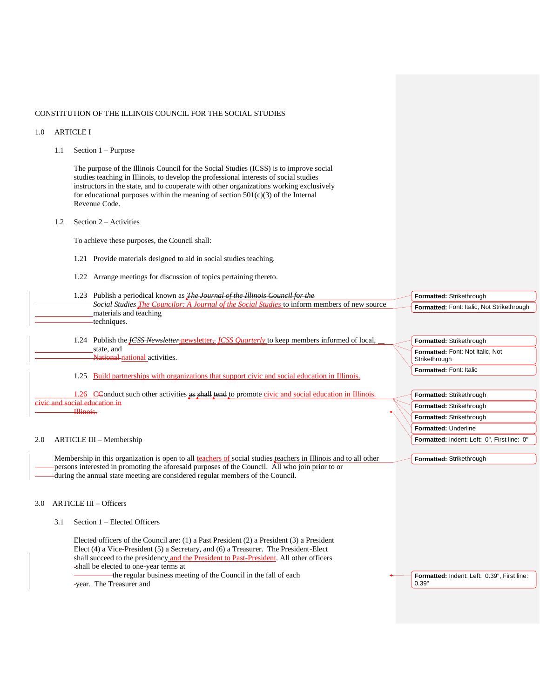# CONSTITUTION OF THE ILLINOIS COUNCIL FOR THE SOCIAL STUDIES

### 1.0 ARTICLE I

1.1 Section 1 – Purpose

The purpose of the Illinois Council for the Social Studies (ICSS) is to improve social studies teaching in Illinois, to develop the professional interests of social studies instructors in the state, and to cooperate with other organizations working exclusively for educational purposes within the meaning of section  $501(c)(3)$  of the Internal Revenue Code.

1.2 Section 2 – Activities

To achieve these purposes, the Council shall:

- 1.21 Provide materials designed to aid in social studies teaching.
- 1.22 Arrange meetings for discussion of topics pertaining thereto.
- 1.23 Publish a periodical known as *The Journal of the Illinois Council for the Social Studies The Councilor: A Journal of the Social Studies* to inform members of new source materials and teaching techniques. **Formatted:** Strikethrough **Formatted:** Font: Italic, Not Strikethrough
	- 1.24 Publish the *ICSS Newsletter-newsletter-ICSS Quarterly* to keep members informed of local, state, and National national activities.
	- 1.25 Build partnerships with organizations that support civic and social education in Illinois.

1.26 CConduct such other activities as shall tend to promote civic and social education in Illinois. and social education in Illinois.

#### 2.0 ARTICLE III – Membership

Membership in this organization is open to all teachers of social studies teachers in Illinois and to all other persons interested in promoting the aforesaid purposes of the Council. All who join prior to or during the annual state meeting are considered regular members of the Council.

# 3.0 ARTICLE III – Officers

3.1 Section 1 – Elected Officers

Elected officers of the Council are: (1) a Past President (2) a President (3) a President Elect (4) a Vice-President (5) a Secretary, and (6) a Treasurer. The President-Elect shall succeed to the presidency and the President to Past-President. All other officers shall be elected to one-year terms at

the regular business meeting of the Council in the fall of each year. The Treasurer and

**Formatted:** Indent: Left: 0.39", First line: 0.39"

**Formatted:** Strikethrough **Formatted:** Font: Not Italic, Not

**Formatted:** Strikethrough **Formatted:** Strikethrough **Formatted:** Strikethrough **Formatted:** Underline

**Formatted:** Strikethrough

**Formatted:** Indent: Left: 0", First line: 0"

Strikethrough **Formatted:** Font: Italic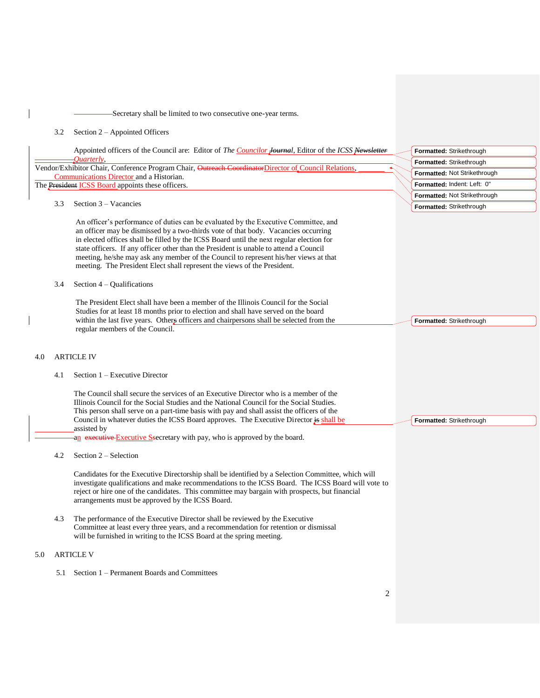# Secretary shall be limited to two consecutive one-year terms.

# 3.2 Section 2 – Appointed Officers

 $\overline{\phantom{a}}$ 

 $\overline{\phantom{a}}$ 

|     |     | Appointed officers of the Council are: Editor of The Councilor Journal, Editor of the ICSS Newsletter                                                                                                                                                                                                                                                                                                                                                                                                                                                              | Formatted: Strikethrough            |
|-----|-----|--------------------------------------------------------------------------------------------------------------------------------------------------------------------------------------------------------------------------------------------------------------------------------------------------------------------------------------------------------------------------------------------------------------------------------------------------------------------------------------------------------------------------------------------------------------------|-------------------------------------|
|     |     | Ouarterly,                                                                                                                                                                                                                                                                                                                                                                                                                                                                                                                                                         | Formatted: Strikethrough            |
|     |     | Vendor/Exhibitor Chair, Conference Program Chair, Outreach CoordinatorDirector of Council Relations,<br>Communications Director and a Historian.                                                                                                                                                                                                                                                                                                                                                                                                                   | Formatted: Not Strikethrough        |
|     |     | The President ICSS Board appoints these officers.                                                                                                                                                                                                                                                                                                                                                                                                                                                                                                                  | Formatted: Indent: Left: 0"         |
|     |     |                                                                                                                                                                                                                                                                                                                                                                                                                                                                                                                                                                    | <b>Formatted: Not Strikethrough</b> |
|     | 3.3 | Section $3 - Vacancies$                                                                                                                                                                                                                                                                                                                                                                                                                                                                                                                                            | Formatted: Strikethrough            |
|     | 3.4 | An officer's performance of duties can be evaluated by the Executive Committee, and<br>an officer may be dismissed by a two-thirds vote of that body. Vacancies occurring<br>in elected offices shall be filled by the ICSS Board until the next regular election for<br>state officers. If any officer other than the President is unable to attend a Council<br>meeting, he/she may ask any member of the Council to represent his/her views at that<br>meeting. The President Elect shall represent the views of the President.<br>Section $4 -$ Qualifications |                                     |
|     |     |                                                                                                                                                                                                                                                                                                                                                                                                                                                                                                                                                                    |                                     |
|     |     | The President Elect shall have been a member of the Illinois Council for the Social                                                                                                                                                                                                                                                                                                                                                                                                                                                                                |                                     |
|     |     | Studies for at least 18 months prior to election and shall have served on the board                                                                                                                                                                                                                                                                                                                                                                                                                                                                                |                                     |
|     |     | within the last five years. Others officers and chairpersons shall be selected from the<br>regular members of the Council.                                                                                                                                                                                                                                                                                                                                                                                                                                         | Formatted: Strikethrough            |
| 4.0 |     | <b>ARTICLE IV</b>                                                                                                                                                                                                                                                                                                                                                                                                                                                                                                                                                  |                                     |
|     | 4.1 | Section $1 -$ Executive Director                                                                                                                                                                                                                                                                                                                                                                                                                                                                                                                                   |                                     |
|     |     | The Council shall secure the services of an Executive Director who is a member of the<br>Illinois Council for the Social Studies and the National Council for the Social Studies.<br>This person shall serve on a part-time basis with pay and shall assist the officers of the<br>Council in whatever duties the ICSS Board approves. The Executive Director is shall be<br>assisted by                                                                                                                                                                           | Formatted: Strikethrough            |
|     |     | an executive Executive Secretary with pay, who is approved by the board.                                                                                                                                                                                                                                                                                                                                                                                                                                                                                           |                                     |
|     | 4.2 | Section 2 – Selection                                                                                                                                                                                                                                                                                                                                                                                                                                                                                                                                              |                                     |
|     |     | Candidates for the Executive Directorship shall be identified by a Selection Committee, which will<br>investigate qualifications and make recommendations to the ICSS Board. The ICSS Board will vote to<br>reject or hire one of the candidates. This committee may bargain with prospects, but financial<br>arrangements must be approved by the ICSS Board.                                                                                                                                                                                                     |                                     |
|     | 4.3 | The performance of the Executive Director shall be reviewed by the Executive<br>Committee at least every three years, and a recommendation for retention or dismissal<br>will be furnished in writing to the ICSS Board at the spring meeting.                                                                                                                                                                                                                                                                                                                     |                                     |
| 5.0 |     | <b>ARTICLE V</b>                                                                                                                                                                                                                                                                                                                                                                                                                                                                                                                                                   |                                     |
|     | 5.1 | Section 1 – Permanent Boards and Committees                                                                                                                                                                                                                                                                                                                                                                                                                                                                                                                        |                                     |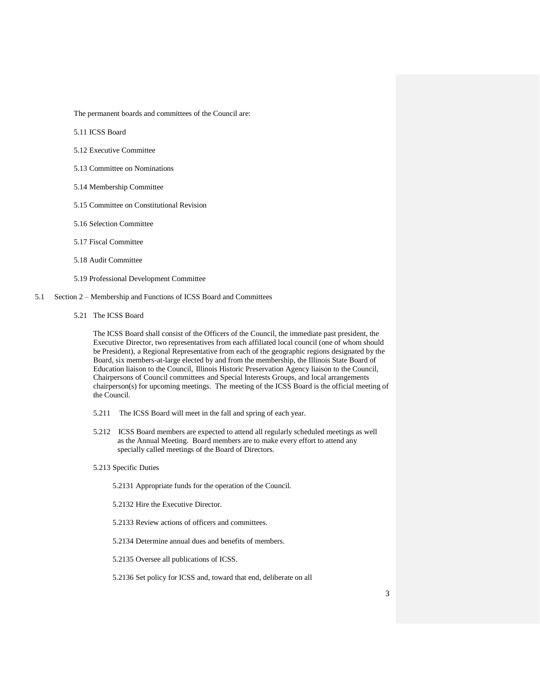The permanent boards and committees of the Council are:

- 5.11 ICSS Board
- 5.12 Executive Committee
- 5.13 Committee on Nominations
- 5.14 Membership Committee
- 5.15 Committee on Constitutional Revision
- 5.16 Selection Committee
- 5.17 Fiscal Committee
- 5.18 Audit Committee
- 5.19 Professional Development Committee
- 5.1 Section 2 Membership and Functions of ICSS Board and Committees
	- 5.21 The ICSS Board

The ICSS Board shall consist of the Officers of the Council, the immediate past president, the Executive Director, two representatives from each affiliated local council (one of whom should be President), a Regional Representative from each of the geographic regions designated by the Board, six members-at-large elected by and from the membership, the Illinois State Board of Education liaison to the Council, Illinois Historic Preservation Agency liaison to the Council, Chairpersons of Council committees and Special Interests Groups, and local arrangements chairperson(s) for upcoming meetings. The meeting of the ICSS Board is the official meeting of the Council.

- 5.211 The ICSS Board will meet in the fall and spring of each year.
- 5.212 ICSS Board members are expected to attend all regularly scheduled meetings as well as the Annual Meeting. Board members are to make every effort to attend any specially called meetings of the Board of Directors.

### 5.213 Specific Duties

- 5.2131 Appropriate funds for the operation of the Council.
- 5.2132 Hire the Executive Director.
- 5.2133 Review actions of officers and committees.
- 5.2134 Determine annual dues and benefits of members.
- 5.2135 Oversee all publications of ICSS.
- 5.2136 Set policy for ICSS and, toward that end, deliberate on all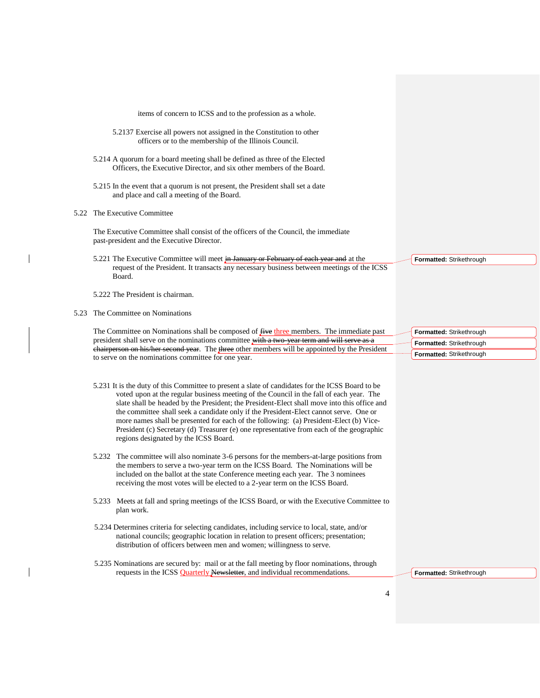items of concern to ICSS and to the profession as a whole.

- 5.2137 Exercise all powers not assigned in the Constitution to other officers or to the membership of the Illinois Council.
- 5.214 A quorum for a board meeting shall be defined as three of the Elected Officers, the Executive Director, and six other members of the Board.
- 5.215 In the event that a quorum is not present, the President shall set a date and place and call a meeting of the Board.

5.22 The Executive Committee

The Executive Committee shall consist of the officers of the Council, the immediate past-president and the Executive Director.

- 5.221 The Executive Committee will meet in January or February of each year and at the request of the President. It transacts any necessary business between meetings of the ICSS Board.
- 5.222 The President is chairman.
- 5.23 The Committee on Nominations

The Committee on Nominations shall be composed of five three members. The immediate past president shall serve on the nominations committee with a two-year term and will serve as a chairperson on his/her second year. The three other members will be appointed by the President to serve on the nominations committee for one year.

- 5.231 It is the duty of this Committee to present a slate of candidates for the ICSS Board to be voted upon at the regular business meeting of the Council in the fall of each year. The slate shall be headed by the President; the President-Elect shall move into this office and the committee shall seek a candidate only if the President-Elect cannot serve. One or more names shall be presented for each of the following: (a) President-Elect (b) Vice-President (c) Secretary (d) Treasurer (e) one representative from each of the geographic regions designated by the ICSS Board.
- 5.232 The committee will also nominate 3-6 persons for the members-at-large positions from the members to serve a two-year term on the ICSS Board. The Nominations will be included on the ballot at the state Conference meeting each year. The 3 nominees receiving the most votes will be elected to a 2-year term on the ICSS Board.
- 5.233 Meets at fall and spring meetings of the ICSS Board, or with the Executive Committee to plan work.
- 5.234 Determines criteria for selecting candidates, including service to local, state, and/or national councils; geographic location in relation to present officers; presentation; distribution of officers between men and women; willingness to serve.
- 5.235 Nominations are secured by: mail or at the fall meeting by floor nominations, through requests in the ICSS **Quarterly Newsletter**, and individual recommendations.

**Formatted:** Strikethrough

**Formatted:** Strikethrough **Formatted:** Strikethrough **Formatted:** Strikethrough

**Formatted:** Strikethrough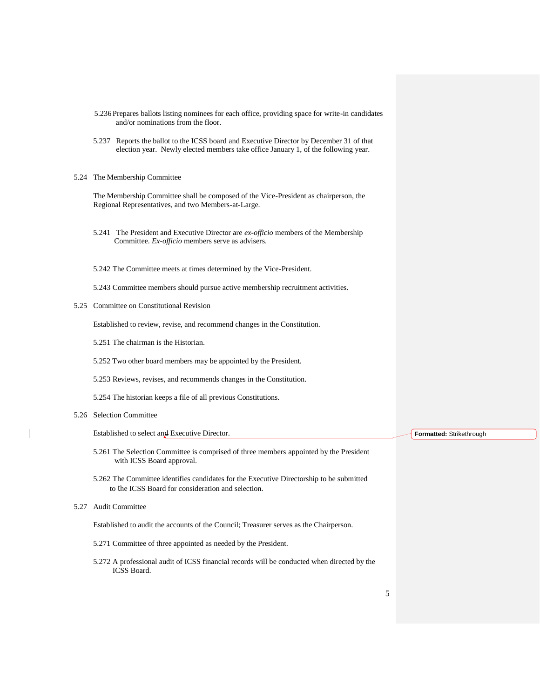- 5.236 Prepares ballots listing nominees for each office, providing space for write-in candidates and/or nominations from the floor.
- 5.237 Reports the ballot to the ICSS board and Executive Director by December 31 of that election year. Newly elected members take office January 1, of the following year.
- 5.24 The Membership Committee

The Membership Committee shall be composed of the Vice-President as chairperson, the Regional Representatives, and two Members-at-Large.

- 5.241 The President and Executive Director are *ex-officio* members of the Membership Committee. *Ex-officio* members serve as advisers.
- 5.242 The Committee meets at times determined by the Vice-President.
- 5.243 Committee members should pursue active membership recruitment activities.
- 5.25 Committee on Constitutional Revision

Established to review, revise, and recommend changes in the Constitution.

- 5.251 The chairman is the Historian.
- 5.252 Two other board members may be appointed by the President.
- 5.253 Reviews, revises, and recommends changes in the Constitution.
- 5.254 The historian keeps a file of all previous Constitutions.
- 5.26 Selection Committee

Established to select and Executive Director.

- 5.261 The Selection Committee is comprised of three members appointed by the President with ICSS Board approval.
- 5.262 The Committee identifies candidates for the Executive Directorship to be submitted to the ICSS Board for consideration and selection.
- 5.27 Audit Committee

Established to audit the accounts of the Council; Treasurer serves as the Chairperson.

- 5.271 Committee of three appointed as needed by the President.
- 5.272 A professional audit of ICSS financial records will be conducted when directed by the ICSS Board.

**Formatted:** Strikethrough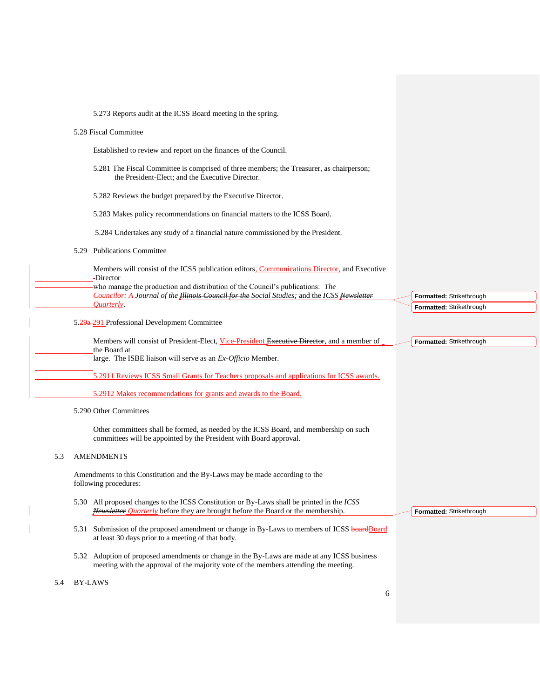|     | 5.273 Reports audit at the ICSS Board meeting in the spring.                                                                                                                          |                                 |
|-----|---------------------------------------------------------------------------------------------------------------------------------------------------------------------------------------|---------------------------------|
|     | 5.28 Fiscal Committee                                                                                                                                                                 |                                 |
|     | Established to review and report on the finances of the Council.                                                                                                                      |                                 |
|     | 5.281 The Fiscal Committee is comprised of three members; the Treasurer, as chairperson;<br>the President-Elect; and the Executive Director.                                          |                                 |
|     | 5.282 Reviews the budget prepared by the Executive Director.                                                                                                                          |                                 |
|     | 5.283 Makes policy recommendations on financial matters to the ICSS Board.                                                                                                            |                                 |
|     | 5.284 Undertakes any study of a financial nature commissioned by the President.                                                                                                       |                                 |
|     | <b>Publications Committee</b><br>5.29                                                                                                                                                 |                                 |
|     | Members will consist of the ICSS publication editors, Communications Director, and Executive<br>-Director                                                                             |                                 |
|     | who manage the production and distribution of the Council's publications: The<br>Councilor: A Journal of the <i>Hlinois Council for the Social Studies</i> ; and the ICSS Newsletter  | Formatted: Strikethrough        |
|     | <i>Ouarterly</i>                                                                                                                                                                      | Formatted: Strikethrough        |
|     | 5.29a-291 Professional Development Committee                                                                                                                                          |                                 |
|     | Members will consist of President-Elect, Vice-President Executive Director, and a member of<br>the Board at                                                                           | Formatted: Strikethrough        |
|     | large. The ISBE liaison will serve as an Ex-Officio Member.                                                                                                                           |                                 |
|     | 5.2911 Reviews ICSS Small Grants for Teachers proposals and applications for ICSS awards.                                                                                             |                                 |
|     | 5.2912 Makes recommendations for grants and awards to the Board.                                                                                                                      |                                 |
|     | 5.290 Other Committees                                                                                                                                                                |                                 |
|     | Other committees shall be formed, as needed by the ICSS Board, and membership on such<br>committees will be appointed by the President with Board approval.                           |                                 |
| 5.3 | <b>AMENDMENTS</b>                                                                                                                                                                     |                                 |
|     | Amendments to this Constitution and the By-Laws may be made according to the<br>following procedures:                                                                                 |                                 |
|     | 5.30 All proposed changes to the ICSS Constitution or By-Laws shall be printed in the ICSS<br>Newsletter <i>Quarterly</i> before they are brought before the Board or the membership. | <b>Formatted: Strikethrough</b> |
|     | 5.31 Submission of the proposed amendment or change in By-Laws to members of ICSS board Board<br>at least 30 days prior to a meeting of that body.                                    |                                 |
|     | 5.32 Adoption of proposed amendments or change in the By-Laws are made at any ICSS business<br>meeting with the approval of the majority vote of the members attending the meeting.   |                                 |
| 5.4 | <b>BY-LAWS</b>                                                                                                                                                                        |                                 |
|     | 6                                                                                                                                                                                     |                                 |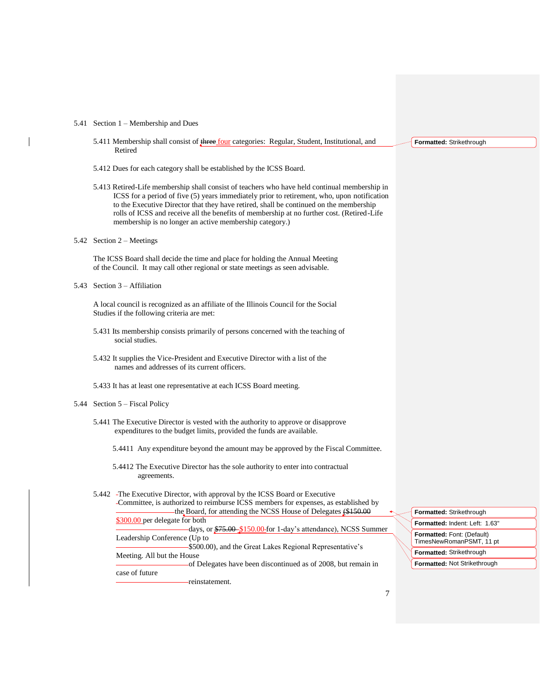### 5.41 Section 1 – Membership and Dues

- 5.411 Membership shall consist of *three four* categories: Regular, Student, Institutional, and Retired
- 5.412 Dues for each category shall be established by the ICSS Board.
- 5.413 Retired-Life membership shall consist of teachers who have held continual membership in ICSS for a period of five (5) years immediately prior to retirement, who, upon notification to the Executive Director that they have retired, shall be continued on the membership rolls of ICSS and receive all the benefits of membership at no further cost. (Retired-Life membership is no longer an active membership category.)
- 5.42 Section 2 Meetings

The ICSS Board shall decide the time and place for holding the Annual Meeting of the Council. It may call other regional or state meetings as seen advisable.

5.43 Section 3 – Affiliation

A local council is recognized as an affiliate of the Illinois Council for the Social Studies if the following criteria are met:

- 5.431 Its membership consists primarily of persons concerned with the teaching of social studies.
- 5.432 It supplies the Vice-President and Executive Director with a list of the names and addresses of its current officers.
- 5.433 It has at least one representative at each ICSS Board meeting.

# 5.44 Section 5 – Fiscal Policy

- 5.441 The Executive Director is vested with the authority to approve or disapprove expenditures to the budget limits, provided the funds are available.
	- 5.4411 Any expenditure beyond the amount may be approved by the Fiscal Committee.
	- 5.4412 The Executive Director has the sole authority to enter into contractual agreements.

# 5.442 The Executive Director, with approval by the ICSS Board or Executive

Committee, is authorized to reimburse ICSS members for expenses, as established by the Board, for attending the NCSS House of Delegates (\$150.00 \$300.00 per delegate for both days, or \$75.00 \$150.00 for 1-day's attendance), NCSS Summer Leadership Conference (Up to \$500.00), and the Great Lakes Regional Representative's Meeting. All but the House of Delegates have been discontinued as of 2008, but remain in case of future reinstatement.

#### **Formatted:** Strikethrough

| Formatted: Strikethrough                               |
|--------------------------------------------------------|
| Formatted: Indent: Left: 1.63"                         |
| Formatted: Font: (Default)<br>TimesNewRomanPSMT, 11 pt |
| Formatted: Strikethrough                               |
| Formatted: Not Strikethrough                           |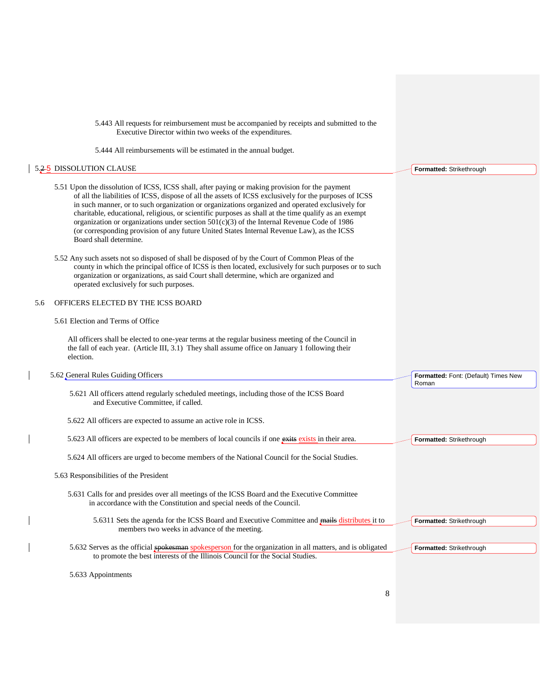| 5.443 All requests for reimbursement must be accompanied by receipts and submitted to the<br>Executive Director within two weeks of the expenditures.<br>5.444 All reimbursements will be estimated in the annual budget.                                                                                                                                                                                                                                                                                                                                                                                                                    |                                      |
|----------------------------------------------------------------------------------------------------------------------------------------------------------------------------------------------------------------------------------------------------------------------------------------------------------------------------------------------------------------------------------------------------------------------------------------------------------------------------------------------------------------------------------------------------------------------------------------------------------------------------------------------|--------------------------------------|
| 5.2-5 DISSOLUTION CLAUSE                                                                                                                                                                                                                                                                                                                                                                                                                                                                                                                                                                                                                     | <b>Formatted: Strikethrough</b>      |
| 5.51 Upon the dissolution of ICSS, ICSS shall, after paying or making provision for the payment<br>of all the liabilities of ICSS, dispose of all the assets of ICSS exclusively for the purposes of ICSS<br>in such manner, or to such organization or organizations organized and operated exclusively for<br>charitable, educational, religious, or scientific purposes as shall at the time qualify as an exempt<br>organization or organizations under section $501(c)(3)$ of the Internal Revenue Code of 1986<br>(or corresponding provision of any future United States Internal Revenue Law), as the ICSS<br>Board shall determine. |                                      |
| 5.52 Any such assets not so disposed of shall be disposed of by the Court of Common Pleas of the<br>county in which the principal office of ICSS is then located, exclusively for such purposes or to such<br>organization or organizations, as said Court shall determine, which are organized and<br>operated exclusively for such purposes.                                                                                                                                                                                                                                                                                               |                                      |
| OFFICERS ELECTED BY THE ICSS BOARD<br>5.6                                                                                                                                                                                                                                                                                                                                                                                                                                                                                                                                                                                                    |                                      |
| 5.61 Election and Terms of Office                                                                                                                                                                                                                                                                                                                                                                                                                                                                                                                                                                                                            |                                      |
| All officers shall be elected to one-year terms at the regular business meeting of the Council in<br>the fall of each year. (Article III, 3.1) They shall assume office on January 1 following their<br>election.                                                                                                                                                                                                                                                                                                                                                                                                                            |                                      |
|                                                                                                                                                                                                                                                                                                                                                                                                                                                                                                                                                                                                                                              |                                      |
| 5.62 General Rules Guiding Officers                                                                                                                                                                                                                                                                                                                                                                                                                                                                                                                                                                                                          | Formatted: Font: (Default) Times New |
| 5.621 All officers attend regularly scheduled meetings, including those of the ICSS Board<br>and Executive Committee, if called.                                                                                                                                                                                                                                                                                                                                                                                                                                                                                                             | Roman                                |
| 5.622 All officers are expected to assume an active role in ICSS.                                                                                                                                                                                                                                                                                                                                                                                                                                                                                                                                                                            |                                      |
| 5.623 All officers are expected to be members of local councils if one exits exists in their area.                                                                                                                                                                                                                                                                                                                                                                                                                                                                                                                                           | Formatted: Strikethrough             |
| 5.624 All officers are urged to become members of the National Council for the Social Studies.                                                                                                                                                                                                                                                                                                                                                                                                                                                                                                                                               |                                      |
| 5.63 Responsibilities of the President                                                                                                                                                                                                                                                                                                                                                                                                                                                                                                                                                                                                       |                                      |
| 5.631 Calls for and presides over all meetings of the ICSS Board and the Executive Committee<br>in accordance with the Constitution and special needs of the Council.                                                                                                                                                                                                                                                                                                                                                                                                                                                                        |                                      |
| 5.6311 Sets the agenda for the ICSS Board and Executive Committee and mails distributes it to<br>members two weeks in advance of the meeting.                                                                                                                                                                                                                                                                                                                                                                                                                                                                                                | Formatted: Strikethrough             |
| 5.632 Serves as the official spokesman spokesperson for the organization in all matters, and is obligated<br>to promote the best interests of the Illinois Council for the Social Studies.                                                                                                                                                                                                                                                                                                                                                                                                                                                   | Formatted: Strikethrough             |
| 5.633 Appointments                                                                                                                                                                                                                                                                                                                                                                                                                                                                                                                                                                                                                           |                                      |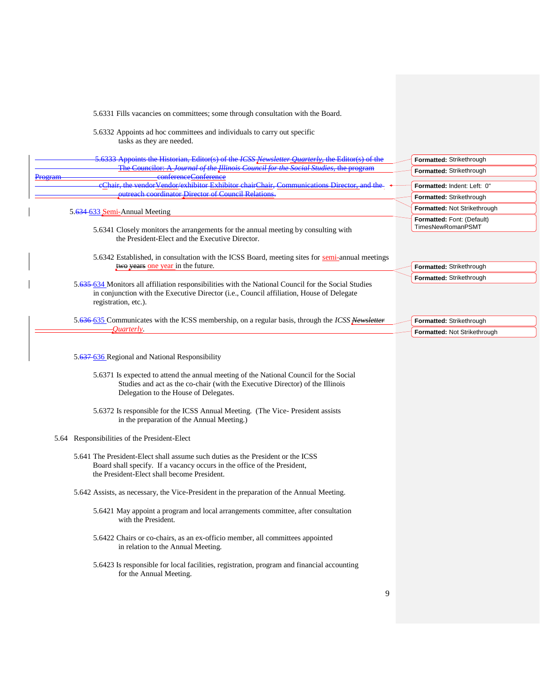| tasks as they are needed.                                                                               |
|---------------------------------------------------------------------------------------------------------|
| 5.6333 Appoints the Historian, Editor(s) of the <i>ICSS Newsletter Quarterly</i> , the Editor(s) of the |
| The Councilor: A <i>Journal of the Illinois Council for the Social Studies</i> , the program            |
| confarancaContaranca                                                                                    |
| eChair, the vendor Vendor/exhibitor Exhibitor chairChair, Communications Director, and the              |
| outroach coordinator Director of Council Polations                                                      |
|                                                                                                         |

5.6331 Fills vacancies on committees; some through consultation with the Board.

5.6332 Appoints ad hoc committees and individuals to carry out specific

### 5.634 633 Semi-Annual Meeting

Program

- 5.6341 Closely monitors the arrangements for the annual meeting by consulting with the President-Elect and the Executive Director.
- 5.6342 Established, in consultation with the ICSS Board, meeting sites for semi-annual meetings two years one year in the future.
- 5.635 634 Monitors all affiliation responsibilities with the National Council for the Social Studies in conjunction with the Executive Director (i.e., Council affiliation, House of Delegate registration, etc.).
- 5.636 635 Communicates with the ICSS membership, on a regular basis, through the *ICSS Newsletter Quarterly*.

5.637-636 Regional and National Responsibility

- 5.6371 Is expected to attend the annual meeting of the National Council for the Social Studies and act as the co-chair (with the Executive Director) of the Illinois Delegation to the House of Delegates.
- 5.6372 Is responsible for the ICSS Annual Meeting. (The Vice- President assists in the preparation of the Annual Meeting.)

### 5.64 Responsibilities of the President-Elect

- 5.641 The President-Elect shall assume such duties as the President or the ICSS Board shall specify. If a vacancy occurs in the office of the President, the President-Elect shall become President.
- 5.642 Assists, as necessary, the Vice-President in the preparation of the Annual Meeting.
	- 5.6421 May appoint a program and local arrangements committee, after consultation with the President.
	- 5.6422 Chairs or co-chairs, as an ex-officio member, all committees appointed in relation to the Annual Meeting.
	- 5.6423 Is responsible for local facilities, registration, program and financial accounting for the Annual Meeting.

| Formatted: Strikethrough                        |
|-------------------------------------------------|
| Formatted: Strikethrough                        |
| Formatted: Indent: Left: 0"                     |
| Formatted: Strikethrough                        |
| Formatted: Not Strikethrough                    |
| Formatted: Font: (Default)<br>TimesNewRomanPSMT |

**Formatted:** Strikethrough **Formatted:** Strikethrough

**Formatted:** Strikethrough **Formatted:** Not Strikethrough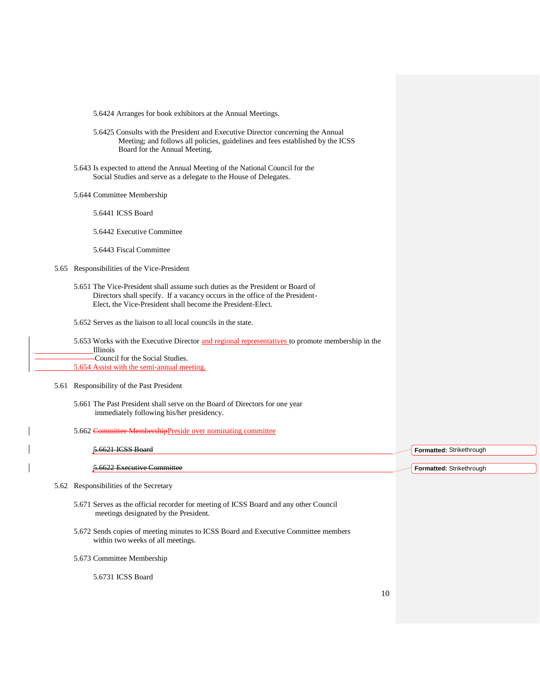5.6424 Arranges for book exhibitors at the Annual Meetings.

- 5.6425 Consults with the President and Executive Director concerning the Annual Meeting; and follows all policies, guidelines and fees established by the ICSS Board for the Annual Meeting.
- 5.643 Is expected to attend the Annual Meeting of the National Council for the Social Studies and serve as a delegate to the House of Delegates.
- 5.644 Committee Membership
	- 5.6441 ICSS Board
	- 5.6442 Executive Committee
	- 5.6443 Fiscal Committee
- 5.65 Responsibilities of the Vice-President
	- 5.651 The Vice-President shall assume such duties as the President or Board of Directors shall specify. If a vacancy occurs in the office of the President- Elect, the Vice-President shall become the President-Elect.
	- 5.652 Serves as the liaison to all local councils in the state.
	- 5.653 Works with the Executive Director and regional representatives to promote membership in the Illinois Council for the Social Studies. 5.654 Assist with the semi-annual meeting.
- 5.61 Responsibility of the Past President
	- 5.661 The Past President shall serve on the Board of Directors for one year immediately following his/her presidency.
	- 5.662 Committee MembershipPreside over nominating committee

| $5.6621$ ICSS Roard        | Formatted: Strikethrough |  |
|----------------------------|--------------------------|--|
|                            |                          |  |
| 5.6622 Executive Committee | Formatted: Strikethrough |  |

5.62 Responsibilities of the Secretary

- 5.671 Serves as the official recorder for meeting of ICSS Board and any other Council meetings designated by the President.
- 5.672 Sends copies of meeting minutes to ICSS Board and Executive Committee members within two weeks of all meetings.
- 5.673 Committee Membership

5.6731 ICSS Board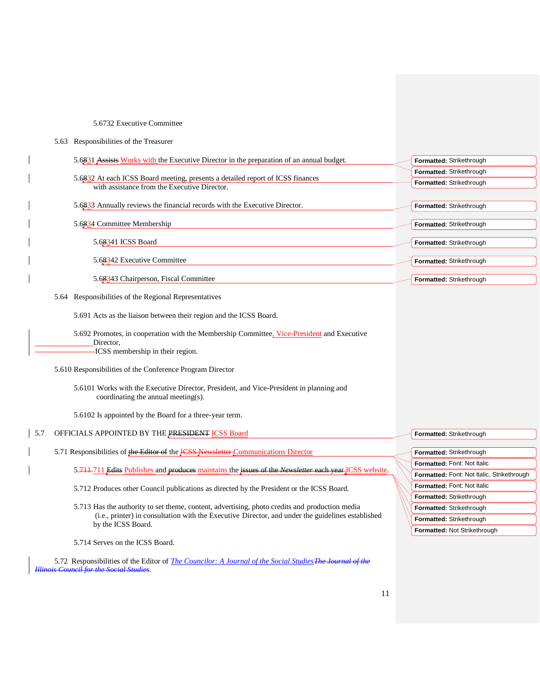### 5.6732 Executive Committee

| 5.63 Responsibilities of the Treasurer |  |  |  |  |
|----------------------------------------|--|--|--|--|
|----------------------------------------|--|--|--|--|

| 5.6831 Assists Works with the Executive Director in the preparation of an annual budget.                                       | Formatted: Strikethrough |
|--------------------------------------------------------------------------------------------------------------------------------|--------------------------|
|                                                                                                                                | Formatted: Strikethrough |
| 5.6832 At each ICSS Board meeting, presents a detailed report of ICSS finances<br>with assistance from the Executive Director. | Formatted: Strikethrough |
|                                                                                                                                |                          |
| 5.6833 Annually reviews the financial records with the Executive Director.                                                     | Formatted: Strikethrough |
| 5.6834 Committee Membership                                                                                                    | Formatted: Strikethrough |
| 5.68341 ICSS Board                                                                                                             | Formatted: Strikethrough |
| 5.68342 Executive Committee                                                                                                    | Formatted: Strikethrough |
| 5.68343 Chairperson, Fiscal Committee                                                                                          | Formatted: Strikethrough |

5.64 Responsibilities of the Regional Representatives

5.691 Acts as the liaison between their region and the ICSS Board.

5.692 Promotes, in cooperation with the Membership Committee, Vice-President and Executive Director, ICSS membership in their region.

5.610 Responsibilities of the Conference Program Director

5.6101 Works with the Executive Director, President, and Vice-President in planning and coordinating the annual meeting(s).

5.6102 Is appointed by the Board for a three-year term.

# 5.7 OFFICIALS APPOINTED BY THE PRESIDENT ICSS Board

5.71 Responsibilities of the Editor of the ICSS Newsletter Communications Director

5.711 711 Edits Publishes and produces maintains the issues of the *Newsletter* each year ICSS website.

5.712 Produces other Council publications as directed by the President or the ICSS Board.

 5.713 Has the authority to set theme, content, advertising, photo credits and production media (i.e., printer) in consultation with the Executive Director, and under the guidelines established by the ICSS Board.

5.714 Serves on the ICSS Board.

5.72 Responsibilities of the Editor of *The Councilor: A Journal of the Social StudiesThe Journal of the Illinois Council for the Social Studies.*

**Formatted:** Strikethrough **Formatted:** Strikethrough **Formatted:** Font: Not Italic **Formatted:** Font: Not Italic, Strikethrough **Formatted:** Font: Not Italic **Formatted:** Strikethrough **Formatted:** Strikethrough **Formatted:** Strikethrough **Formatted:** Not Strikethrough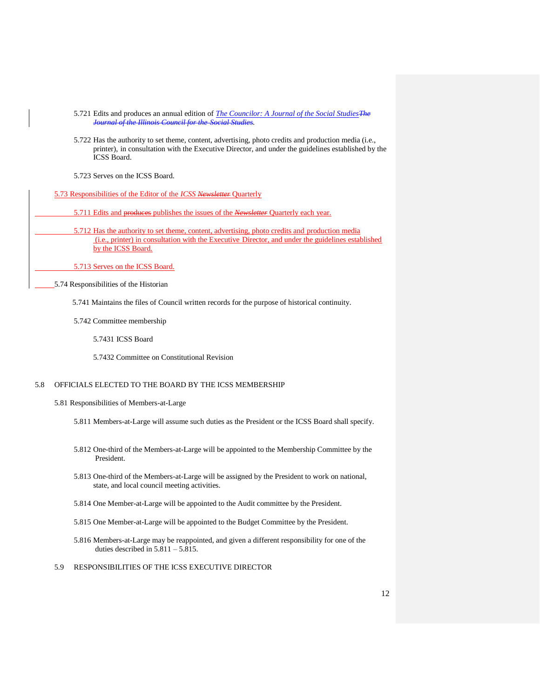- 5.721 Edits and produces an annual edition of *The Councilor: A Journal of the Social StudiesThe Journal of the Illinois Council for the Social Studies.*
- 5.722 Has the authority to set theme, content, advertising, photo credits and production media (i.e., printer), in consultation with the Executive Director, and under the guidelines established by the ICSS Board.
- 5.723 Serves on the ICSS Board.
- 5.73 Responsibilities of the Editor of the *ICSS Newsletter* Quarterly

5.711 Edits and produces publishes the issues of the *Newsletter* Quarterly each year.

 5.712 Has the authority to set theme, content, advertising, photo credits and production media (i.e., printer) in consultation with the Executive Director, and under the guidelines established by the ICSS Board.

5.713 Serves on the ICSS Board.

5.74 Responsibilities of the Historian

5.741 Maintains the files of Council written records for the purpose of historical continuity.

5.742 Committee membership

5.7431 ICSS Board

5.7432 Committee on Constitutional Revision

# 5.8 OFFICIALS ELECTED TO THE BOARD BY THE ICSS MEMBERSHIP

5.81 Responsibilities of Members-at-Large

- 5.811 Members-at-Large will assume such duties as the President or the ICSS Board shall specify.
- 5.812 One-third of the Members-at-Large will be appointed to the Membership Committee by the President.
- 5.813 One-third of the Members-at-Large will be assigned by the President to work on national, state, and local council meeting activities.
- 5.814 One Member-at-Large will be appointed to the Audit committee by the President.
- 5.815 One Member-at-Large will be appointed to the Budget Committee by the President.
- 5.816 Members-at-Large may be reappointed, and given a different responsibility for one of the duties described in  $5.811 - 5.815$ .
- 5.9 RESPONSIBILITIES OF THE ICSS EXECUTIVE DIRECTOR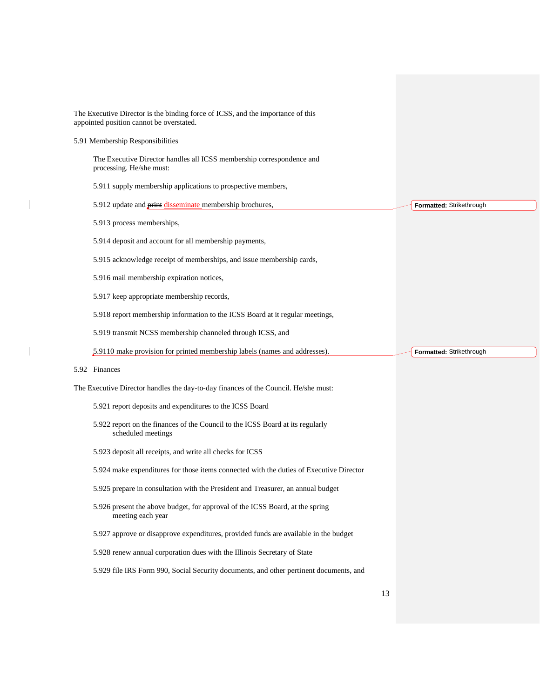| The Executive Director is the binding force of ICSS, and the importance of this<br>appointed position cannot be overstated. |                          |
|-----------------------------------------------------------------------------------------------------------------------------|--------------------------|
| 5.91 Membership Responsibilities                                                                                            |                          |
| The Executive Director handles all ICSS membership correspondence and<br>processing. He/she must:                           |                          |
| 5.911 supply membership applications to prospective members,                                                                |                          |
| 5.912 update and <b>print</b> disseminate membership brochures,                                                             | Formatted: Strikethrough |
| 5.913 process memberships,                                                                                                  |                          |
| 5.914 deposit and account for all membership payments,                                                                      |                          |
| 5.915 acknowledge receipt of memberships, and issue membership cards,                                                       |                          |
| 5.916 mail membership expiration notices,                                                                                   |                          |
| 5.917 keep appropriate membership records,                                                                                  |                          |
| 5.918 report membership information to the ICSS Board at it regular meetings,                                               |                          |
| 5.919 transmit NCSS membership channeled through ICSS, and                                                                  |                          |
|                                                                                                                             |                          |
| 5.9110 make provision for printed membership labels (names and addresses).                                                  | Formatted: Strikethrough |
| 5.92 Finances                                                                                                               |                          |
| The Executive Director handles the day-to-day finances of the Council. He/she must:                                         |                          |
| 5.921 report deposits and expenditures to the ICSS Board                                                                    |                          |
| 5.922 report on the finances of the Council to the ICSS Board at its regularly<br>scheduled meetings                        |                          |
| 5.923 deposit all receipts, and write all checks for ICSS                                                                   |                          |
| 5.924 make expenditures for those items connected with the duties of Executive Director                                     |                          |
| 5.925 prepare in consultation with the President and Treasurer, an annual budget                                            |                          |
| 5.926 present the above budget, for approval of the ICSS Board, at the spring<br>meeting each year                          |                          |
| 5.927 approve or disapprove expenditures, provided funds are available in the budget                                        |                          |
| 5.928 renew annual corporation dues with the Illinois Secretary of State                                                    |                          |
| 5.929 file IRS Form 990, Social Security documents, and other pertinent documents, and                                      |                          |

 $\begin{array}{c} \rule{0pt}{2ex} \rule{0pt}{2ex} \rule{0pt}{2ex} \rule{0pt}{2ex} \rule{0pt}{2ex} \rule{0pt}{2ex} \rule{0pt}{2ex} \rule{0pt}{2ex} \rule{0pt}{2ex} \rule{0pt}{2ex} \rule{0pt}{2ex} \rule{0pt}{2ex} \rule{0pt}{2ex} \rule{0pt}{2ex} \rule{0pt}{2ex} \rule{0pt}{2ex} \rule{0pt}{2ex} \rule{0pt}{2ex} \rule{0pt}{2ex} \rule{0pt}{2ex} \rule{0pt}{2ex} \rule{0pt}{2ex} \rule{0pt}{2ex} \rule{0pt}{$ 

 $\overline{\phantom{a}}$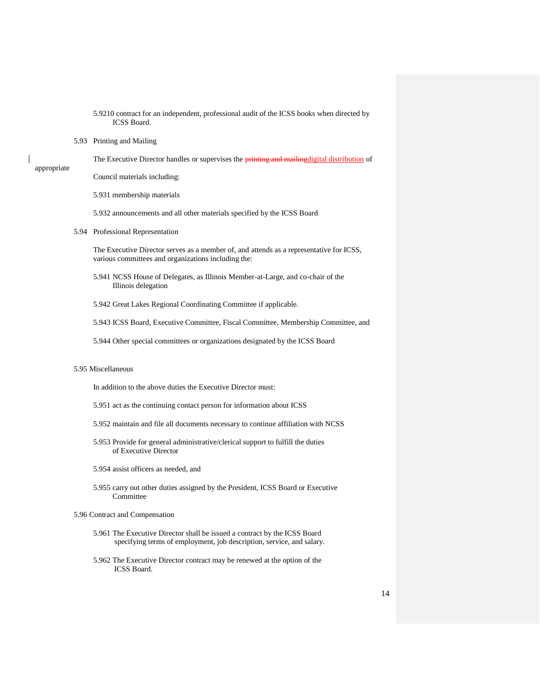|             | 5.9210 contract for an independent, professional audit of the ICSS books when directed by<br><b>ICSS Board.</b>                                    |    |
|-------------|----------------------------------------------------------------------------------------------------------------------------------------------------|----|
|             | 5.93 Printing and Mailing                                                                                                                          |    |
|             | The Executive Director handles or supervises the <i>printing and mailingdigital distribution</i> of                                                |    |
| appropriate | Council materials including:                                                                                                                       |    |
|             | 5.931 membership materials                                                                                                                         |    |
|             | 5.932 announcements and all other materials specified by the ICSS Board                                                                            |    |
|             | 5.94 Professional Representation                                                                                                                   |    |
|             | The Executive Director serves as a member of, and attends as a representative for ICSS,<br>various committees and organizations including the:     |    |
|             | 5.941 NCSS House of Delegates, as Illinois Member-at-Large, and co-chair of the<br>Illinois delegation                                             |    |
|             | 5.942 Great Lakes Regional Coordinating Committee if applicable.                                                                                   |    |
|             | 5.943 ICSS Board, Executive Committee, Fiscal Committee, Membership Committee, and                                                                 |    |
|             | 5.944 Other special committees or organizations designated by the ICSS Board                                                                       |    |
|             | 5.95 Miscellaneous                                                                                                                                 |    |
|             | In addition to the above duties the Executive Director must:                                                                                       |    |
|             | 5.951 act as the continuing contact person for information about ICSS                                                                              |    |
|             | 5.952 maintain and file all documents necessary to continue affiliation with NCSS                                                                  |    |
|             | 5.953 Provide for general administrative/clerical support to fulfill the duties<br>of Executive Director                                           |    |
|             | 5.954 assist officers as needed, and                                                                                                               |    |
|             | 5.955 carry out other duties assigned by the President, ICSS Board or Executive<br>Committee                                                       |    |
|             | 5.96 Contract and Compensation                                                                                                                     |    |
|             | 5.961 The Executive Director shall be issued a contract by the ICSS Board<br>specifying terms of employment, job description, service, and salary. |    |
|             | 5.962 The Executive Director contract may be renewed at the option of the<br>ICSS Board.                                                           |    |
|             |                                                                                                                                                    | 14 |

 $\mathbf{I}$